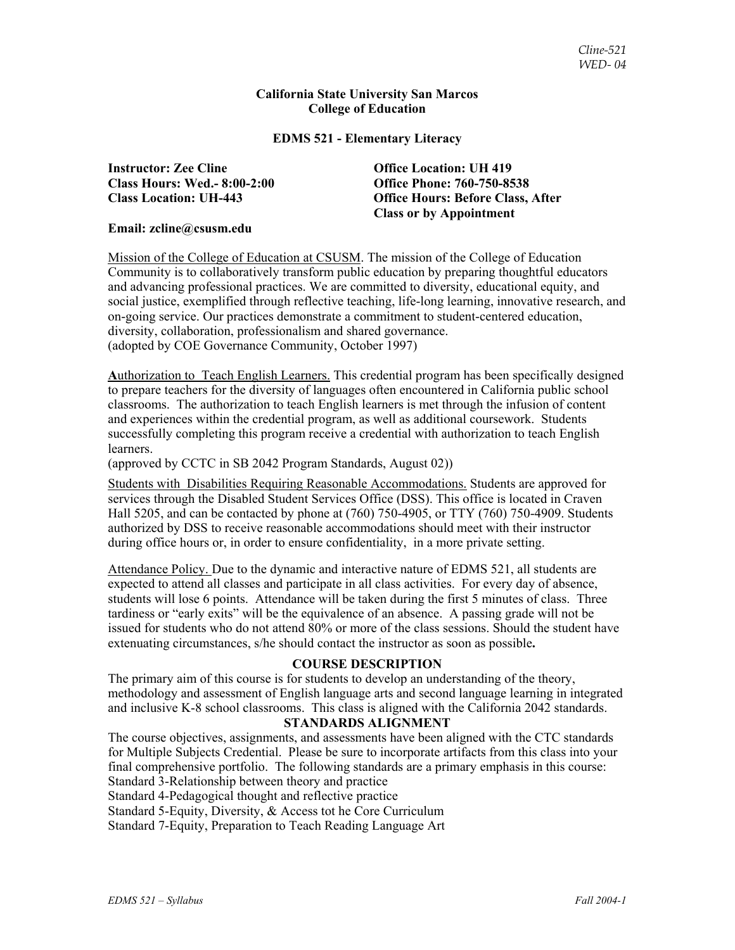#### **California State University San Marcos College of Education**

#### **EDMS 521 - Elementary Literacy**

**Instructor: Zee Cline Office Location: UH 419 Class Hours: Wed.- 8:00-2:00 Office Phone: 760-750-8538** 

**Class Location: UH-443 Office Hours: Before Class, After Class or by Appointment** 

#### **Email: zcline@csusm.edu**

Mission of the College of Education at CSUSM. The mission of the College of Education Community is to collaboratively transform public education by preparing thoughtful educators and advancing professional practices. We are committed to diversity, educational equity, and social justice, exemplified through reflective teaching, life-long learning, innovative research, and on-going service. Our practices demonstrate a commitment to student-centered education, diversity, collaboration, professionalism and shared governance. (adopted by COE Governance Community, October 1997)

**A**uthorization to Teach English Learners. This credential program has been specifically designed to prepare teachers for the diversity of languages often encountered in California public school classrooms. The authorization to teach English learners is met through the infusion of content and experiences within the credential program, as well as additional coursework. Students successfully completing this program receive a credential with authorization to teach English learners.

(approved by CCTC in SB 2042 Program Standards, August 02))

Students with Disabilities Requiring Reasonable Accommodations. Students are approved for services through the Disabled Student Services Office (DSS). This office is located in Craven Hall 5205, and can be contacted by phone at (760) 750-4905, or TTY (760) 750-4909. Students authorized by DSS to receive reasonable accommodations should meet with their instructor during office hours or, in order to ensure confidentiality, in a more private setting.

Attendance Policy. Due to the dynamic and interactive nature of EDMS 521, all students are expected to attend all classes and participate in all class activities. For every day of absence, students will lose 6 points. Attendance will be taken during the first 5 minutes of class. Three tardiness or "early exits" will be the equivalence of an absence. A passing grade will not be issued for students who do not attend 80% or more of the class sessions. Should the student have extenuating circumstances, s/he should contact the instructor as soon as possible**.**

# **COURSE DESCRIPTION**

The primary aim of this course is for students to develop an understanding of the theory, methodology and assessment of English language arts and second language learning in integrated and inclusive K-8 school classrooms. This class is aligned with the California 2042 standards.

#### **STANDARDS ALIGNMENT**

The course objectives, assignments, and assessments have been aligned with the CTC standards for Multiple Subjects Credential. Please be sure to incorporate artifacts from this class into your final comprehensive portfolio. The following standards are a primary emphasis in this course: Standard 3-Relationship between theory and practice

Standard 4-Pedagogical thought and reflective practice

Standard 5-Equity, Diversity, & Access tot he Core Curriculum

Standard 7-Equity, Preparation to Teach Reading Language Art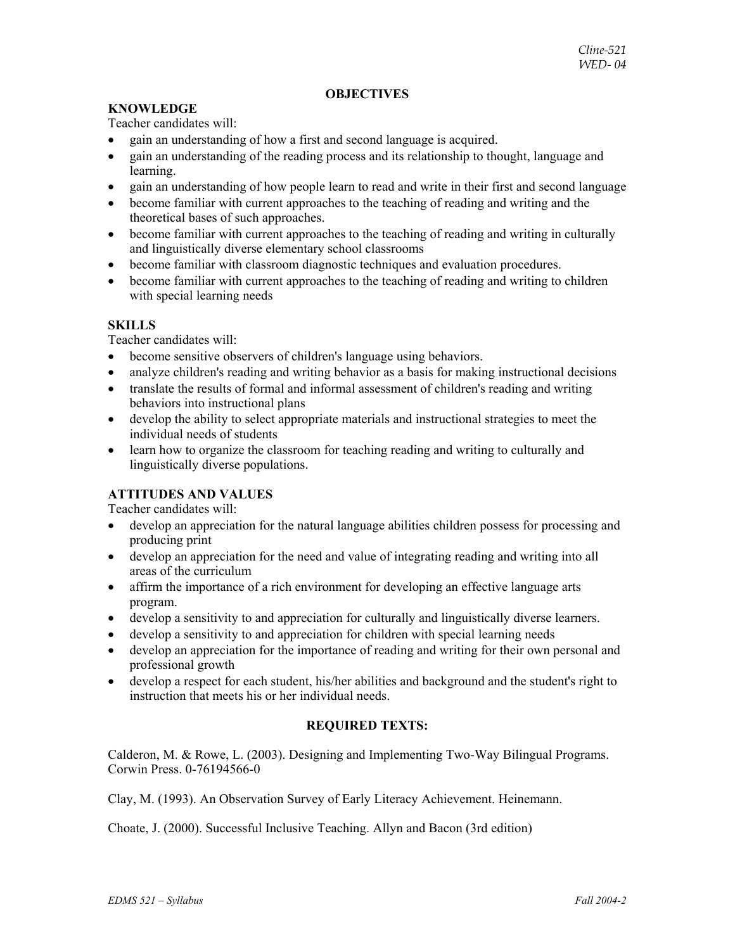# **OBJECTIVES**

# **KNOWLEDGE**

Teacher candidates will:

- gain an understanding of how a first and second language is acquired.
- gain an understanding of the reading process and its relationship to thought, language and learning.
- gain an understanding of how people learn to read and write in their first and second language
- become familiar with current approaches to the teaching of reading and writing and the theoretical bases of such approaches.
- become familiar with current approaches to the teaching of reading and writing in culturally and linguistically diverse elementary school classrooms
- become familiar with classroom diagnostic techniques and evaluation procedures.
- become familiar with current approaches to the teaching of reading and writing to children with special learning needs

# **SKILLS**

Teacher candidates will:

- become sensitive observers of children's language using behaviors.
- analyze children's reading and writing behavior as a basis for making instructional decisions
- translate the results of formal and informal assessment of children's reading and writing behaviors into instructional plans
- develop the ability to select appropriate materials and instructional strategies to meet the individual needs of students
- learn how to organize the classroom for teaching reading and writing to culturally and linguistically diverse populations.

# **ATTITUDES AND VALUES**

Teacher candidates will:

- develop an appreciation for the natural language abilities children possess for processing and producing print
- develop an appreciation for the need and value of integrating reading and writing into all areas of the curriculum
- affirm the importance of a rich environment for developing an effective language arts program.
- develop a sensitivity to and appreciation for culturally and linguistically diverse learners.
- develop a sensitivity to and appreciation for children with special learning needs
- develop an appreciation for the importance of reading and writing for their own personal and professional growth
- develop a respect for each student, his/her abilities and background and the student's right to instruction that meets his or her individual needs.

# **REQUIRED TEXTS:**

Calderon, M. & Rowe, L. (2003). Designing and Implementing Two-Way Bilingual Programs. Corwin Press. 0-76194566-0

Clay, M. (1993). An Observation Survey of Early Literacy Achievement. Heinemann.

Choate, J. (2000). Successful Inclusive Teaching. Allyn and Bacon (3rd edition)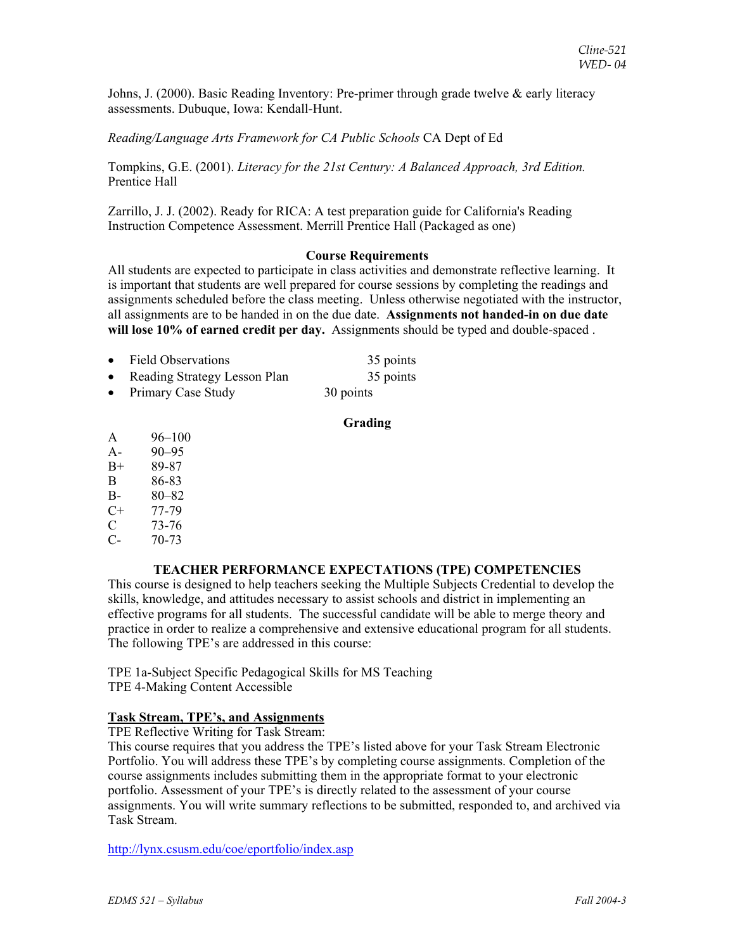Johns, J. (2000). Basic Reading Inventory: Pre-primer through grade twelve & early literacy assessments. Dubuque, Iowa: Kendall-Hunt.

# *Reading/Language Arts Framework for CA Public Schools* CA Dept of Ed

Tompkins, G.E. (2001). *Literacy for the 21st Century: A Balanced Approach, 3rd Edition.* Prentice Hall

Zarrillo, J. J. (2002). Ready for RICA: A test preparation guide for California's Reading Instruction Competence Assessment. Merrill Prentice Hall (Packaged as one)

#### **Course Requirements**

All students are expected to participate in class activities and demonstrate reflective learning. It is important that students are well prepared for course sessions by completing the readings and assignments scheduled before the class meeting. Unless otherwise negotiated with the instructor, all assignments are to be handed in on the due date. **Assignments not handed-in on due date will lose 10% of earned credit per day.** Assignments should be typed and double-spaced .

| • Field Observations           | 35 points |
|--------------------------------|-----------|
| • Reading Strategy Lesson Plan | 35 points |
| • Primary Case Study           | 30 points |

#### **Grading**

- A 96–100
- A- 90–95
- B+ 89-87
- B 86-83
- B- 80–82
- $C+ 77-79$
- C 73-76
- C- 70-73

# **TEACHER PERFORMANCE EXPECTATIONS (TPE) COMPETENCIES**

This course is designed to help teachers seeking the Multiple Subjects Credential to develop the skills, knowledge, and attitudes necessary to assist schools and district in implementing an effective programs for all students. The successful candidate will be able to merge theory and practice in order to realize a comprehensive and extensive educational program for all students. The following TPE's are addressed in this course:

TPE 1a-Subject Specific Pedagogical Skills for MS Teaching TPE 4-Making Content Accessible

# **Task Stream, TPE's, and Assignments**

TPE Reflective Writing for Task Stream:

This course requires that you address the TPE's listed above for your Task Stream Electronic Portfolio. You will address these TPE's by completing course assignments. Completion of the course assignments includes submitting them in the appropriate format to your electronic portfolio. Assessment of your TPE's is directly related to the assessment of your course assignments. You will write summary reflections to be submitted, responded to, and archived via Task Stream.

http://lynx.csusm.edu/coe/eportfolio/index.asp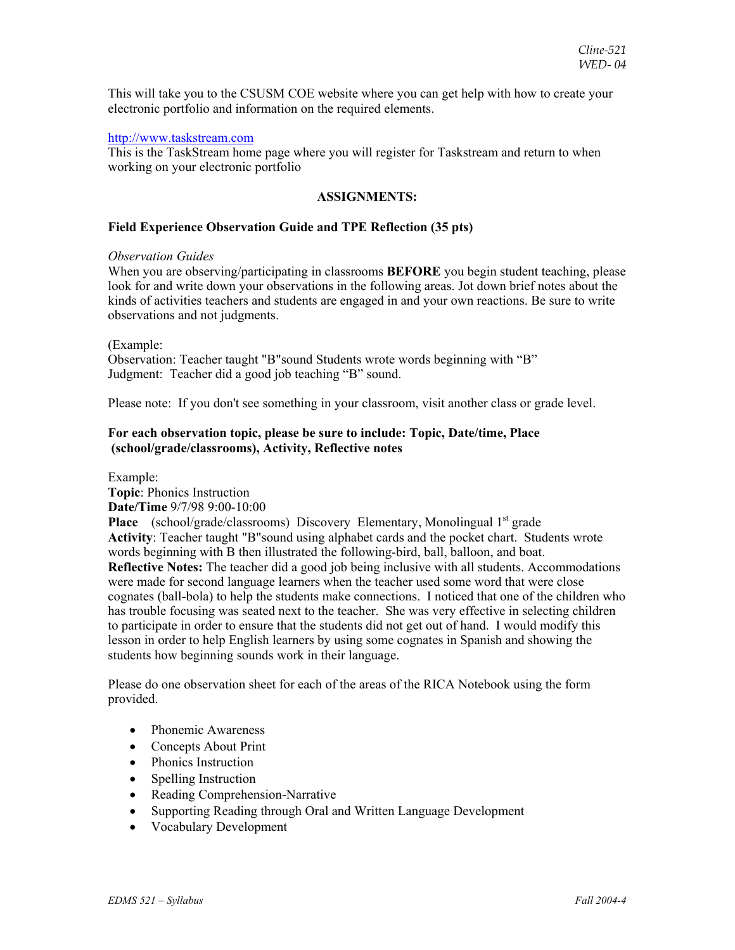This will take you to the CSUSM COE website where you can get help with how to create your electronic portfolio and information on the required elements.

### http://www.taskstream.com

This is the TaskStream home page where you will register for Taskstream and return to when working on your electronic portfolio

### **ASSIGNMENTS:**

#### **Field Experience Observation Guide and TPE Reflection (35 pts)**

#### *Observation Guides*

When you are observing/participating in classrooms **BEFORE** you begin student teaching, please look for and write down your observations in the following areas. Jot down brief notes about the kinds of activities teachers and students are engaged in and your own reactions. Be sure to write observations and not judgments.

#### (Example:

Observation: Teacher taught "B"sound Students wrote words beginning with "B" Judgment: Teacher did a good job teaching "B" sound.

Please note: If you don't see something in your classroom, visit another class or grade level.

# **For each observation topic, please be sure to include: Topic, Date/time, Place (school/grade/classrooms), Activity, Reflective notes**

Example:

**Topic**: Phonics Instruction **Date/Time** 9/7/98 9:00-10:00

**Place** (school/grade/classrooms) Discovery Elementary, Monolingual 1<sup>st</sup> grade **Activity**: Teacher taught "B"sound using alphabet cards and the pocket chart. Students wrote words beginning with B then illustrated the following-bird, ball, balloon, and boat. **Reflective Notes:** The teacher did a good job being inclusive with all students. Accommodations were made for second language learners when the teacher used some word that were close cognates (ball-bola) to help the students make connections. I noticed that one of the children who has trouble focusing was seated next to the teacher. She was very effective in selecting children to participate in order to ensure that the students did not get out of hand. I would modify this lesson in order to help English learners by using some cognates in Spanish and showing the students how beginning sounds work in their language.

Please do one observation sheet for each of the areas of the RICA Notebook using the form provided.

- Phonemic Awareness
- Concepts About Print
- Phonics Instruction
- Spelling Instruction
- Reading Comprehension-Narrative
- Supporting Reading through Oral and Written Language Development
- Vocabulary Development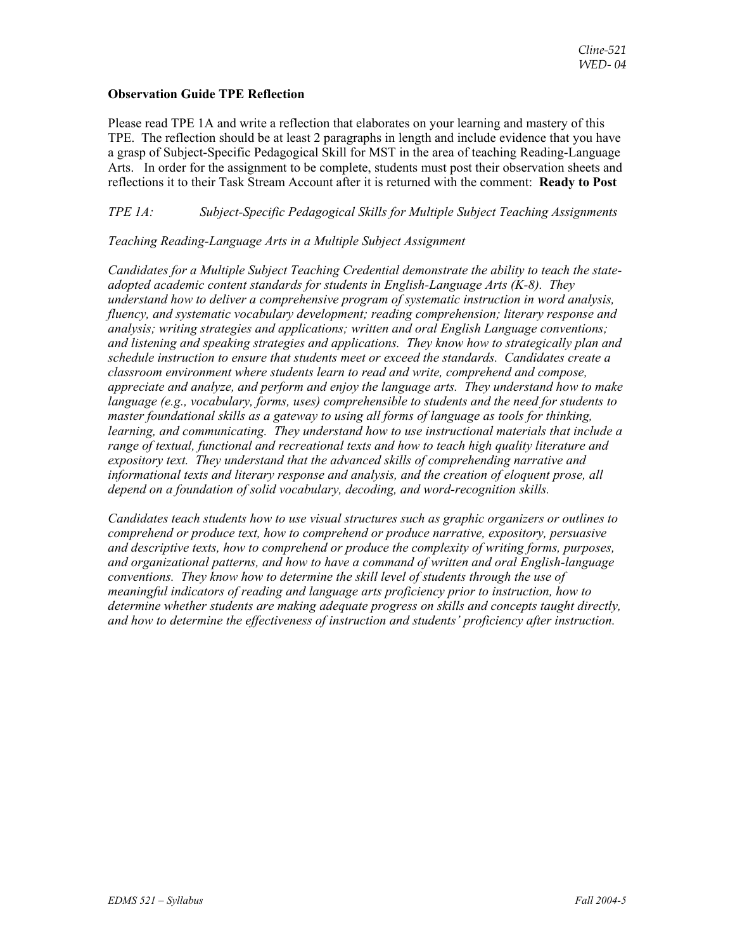### **Observation Guide TPE Reflection**

Please read TPE 1A and write a reflection that elaborates on your learning and mastery of this TPE. The reflection should be at least 2 paragraphs in length and include evidence that you have a grasp of Subject-Specific Pedagogical Skill for MST in the area of teaching Reading-Language Arts. In order for the assignment to be complete, students must post their observation sheets and reflections it to their Task Stream Account after it is returned with the comment: **Ready to Post**

# *TPE 1A: Subject-Specific Pedagogical Skills for Multiple Subject Teaching Assignments*

# *Teaching Reading-Language Arts in a Multiple Subject Assignment*

*Candidates for a Multiple Subject Teaching Credential demonstrate the ability to teach the stateadopted academic content standards for students in English-Language Arts (K-8). They understand how to deliver a comprehensive program of systematic instruction in word analysis, fluency, and systematic vocabulary development; reading comprehension; literary response and analysis; writing strategies and applications; written and oral English Language conventions; and listening and speaking strategies and applications. They know how to strategically plan and schedule instruction to ensure that students meet or exceed the standards. Candidates create a classroom environment where students learn to read and write, comprehend and compose, appreciate and analyze, and perform and enjoy the language arts. They understand how to make language (e.g., vocabulary, forms, uses) comprehensible to students and the need for students to master foundational skills as a gateway to using all forms of language as tools for thinking, learning, and communicating. They understand how to use instructional materials that include a range of textual, functional and recreational texts and how to teach high quality literature and expository text. They understand that the advanced skills of comprehending narrative and informational texts and literary response and analysis, and the creation of eloquent prose, all depend on a foundation of solid vocabulary, decoding, and word-recognition skills.* 

*Candidates teach students how to use visual structures such as graphic organizers or outlines to comprehend or produce text, how to comprehend or produce narrative, expository, persuasive and descriptive texts, how to comprehend or produce the complexity of writing forms, purposes, and organizational patterns, and how to have a command of written and oral English-language conventions. They know how to determine the skill level of students through the use of meaningful indicators of reading and language arts proficiency prior to instruction, how to determine whether students are making adequate progress on skills and concepts taught directly, and how to determine the effectiveness of instruction and students' proficiency after instruction.*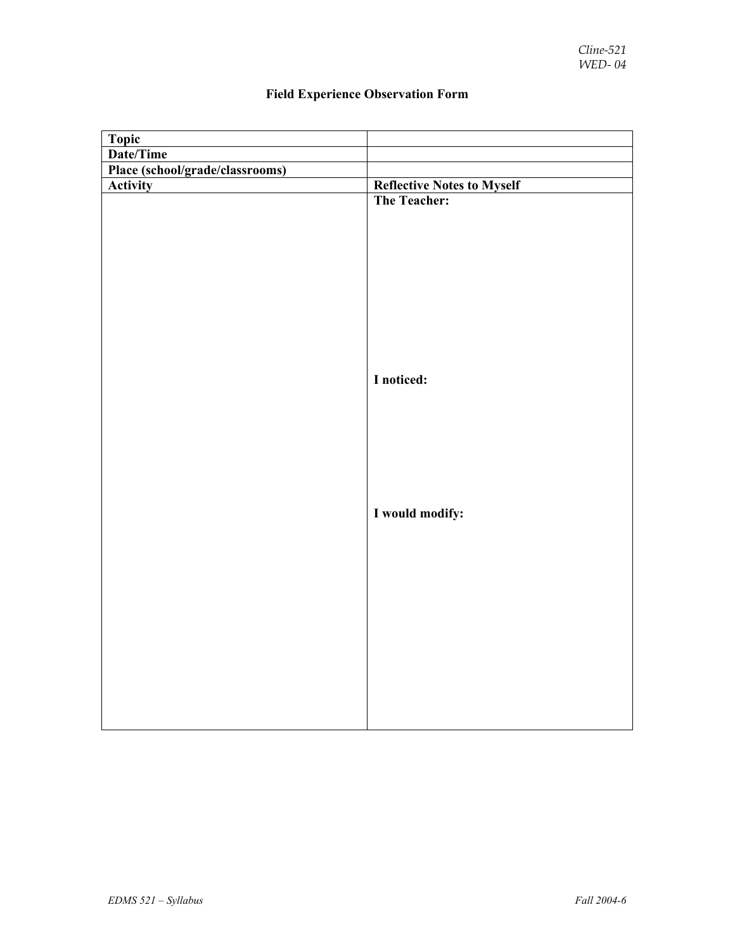| Topic                           |                                   |
|---------------------------------|-----------------------------------|
| Date/Time                       |                                   |
| Place (school/grade/classrooms) |                                   |
| <b>Activity</b>                 | <b>Reflective Notes to Myself</b> |
|                                 | The Teacher:                      |
|                                 |                                   |
|                                 |                                   |
|                                 |                                   |
|                                 |                                   |
|                                 |                                   |
|                                 |                                   |
|                                 |                                   |
|                                 |                                   |
|                                 |                                   |
|                                 |                                   |
|                                 | I noticed:                        |
|                                 |                                   |
|                                 |                                   |
|                                 |                                   |
|                                 |                                   |
|                                 |                                   |
|                                 |                                   |
|                                 |                                   |
|                                 | I would modify:                   |
|                                 |                                   |
|                                 |                                   |
|                                 |                                   |
|                                 |                                   |
|                                 |                                   |
|                                 |                                   |
|                                 |                                   |
|                                 |                                   |
|                                 |                                   |
|                                 |                                   |
|                                 |                                   |
|                                 |                                   |
|                                 |                                   |

# **Field Experience Observation Form**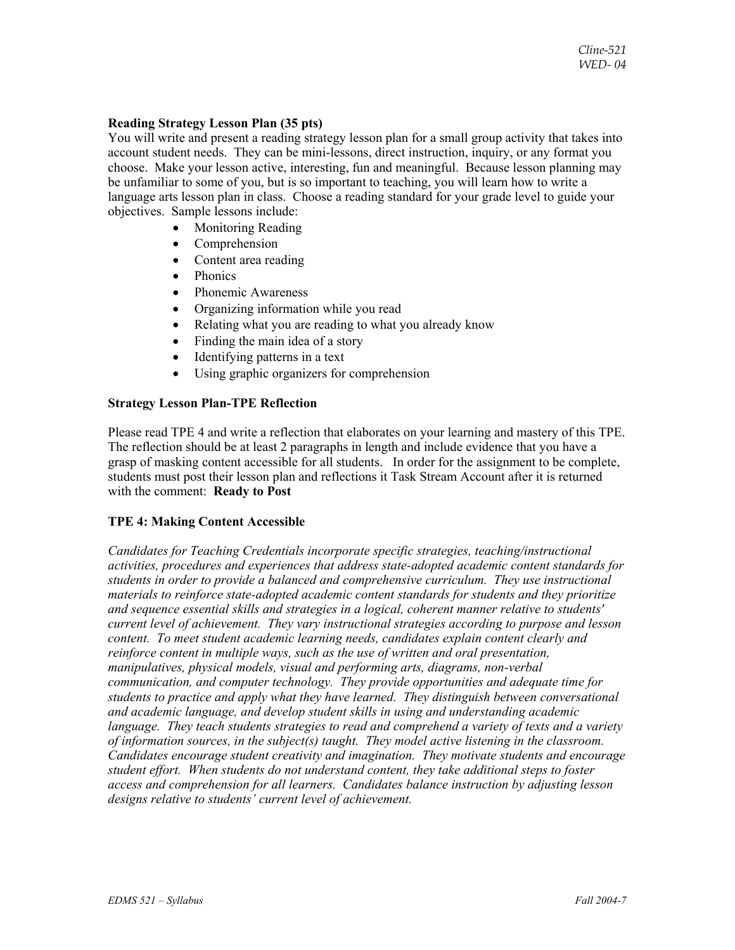# **Reading Strategy Lesson Plan (35 pts)**

You will write and present a reading strategy lesson plan for a small group activity that takes into account student needs. They can be mini-lessons, direct instruction, inquiry, or any format you choose. Make your lesson active, interesting, fun and meaningful. Because lesson planning may be unfamiliar to some of you, but is so important to teaching, you will learn how to write a language arts lesson plan in class. Choose a reading standard for your grade level to guide your objectives. Sample lessons include:

- Monitoring Reading
- **Comprehension**
- Content area reading
- Phonics
- Phonemic Awareness
- Organizing information while you read
- Relating what you are reading to what you already know
- Finding the main idea of a story
- Identifying patterns in a text
- Using graphic organizers for comprehension

# **Strategy Lesson Plan-TPE Reflection**

Please read TPE 4 and write a reflection that elaborates on your learning and mastery of this TPE. The reflection should be at least 2 paragraphs in length and include evidence that you have a grasp of masking content accessible for all students. In order for the assignment to be complete, students must post their lesson plan and reflections it Task Stream Account after it is returned with the comment: **Ready to Post**

# **TPE 4: Making Content Accessible**

*Candidates for Teaching Credentials incorporate specific strategies, teaching/instructional activities, procedures and experiences that address state-adopted academic content standards for students in order to provide a balanced and comprehensive curriculum. They use instructional materials to reinforce state-adopted academic content standards for students and they prioritize and sequence essential skills and strategies in a logical, coherent manner relative to students' current level of achievement. They vary instructional strategies according to purpose and lesson content. To meet student academic learning needs, candidates explain content clearly and reinforce content in multiple ways, such as the use of written and oral presentation, manipulatives, physical models, visual and performing arts, diagrams, non-verbal communication, and computer technology. They provide opportunities and adequate time for students to practice and apply what they have learned. They distinguish between conversational and academic language, and develop student skills in using and understanding academic language. They teach students strategies to read and comprehend a variety of texts and a variety of information sources, in the subject(s) taught. They model active listening in the classroom. Candidates encourage student creativity and imagination. They motivate students and encourage student effort. When students do not understand content, they take additional steps to foster access and comprehension for all learners. Candidates balance instruction by adjusting lesson designs relative to students' current level of achievement.*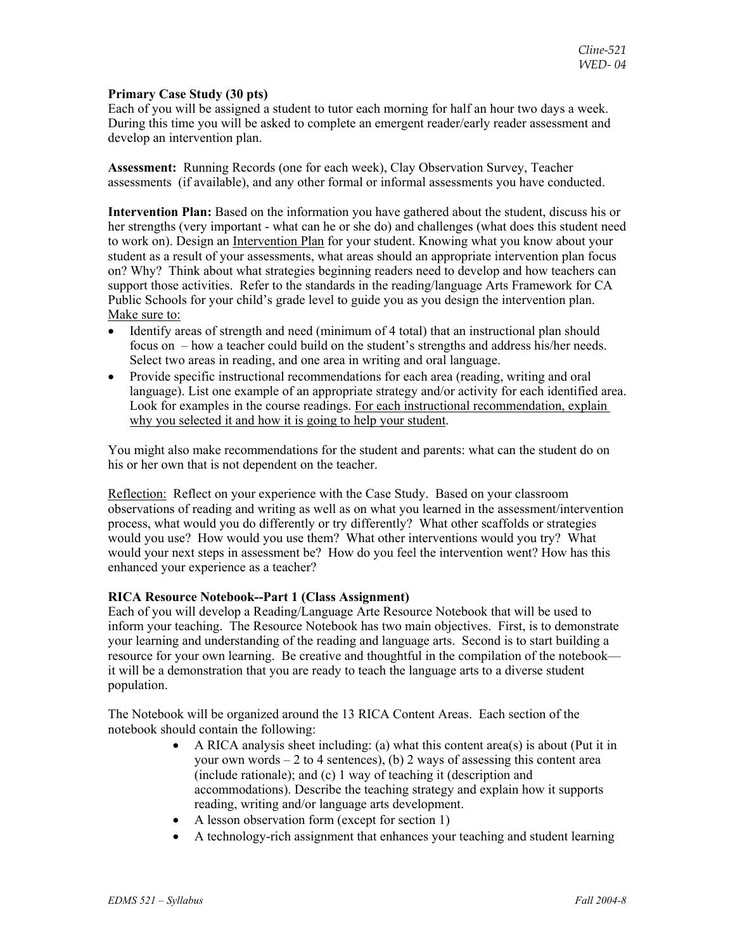#### **Primary Case Study (30 pts)**

Each of you will be assigned a student to tutor each morning for half an hour two days a week. During this time you will be asked to complete an emergent reader/early reader assessment and develop an intervention plan.

**Assessment:** Running Records (one for each week), Clay Observation Survey, Teacher assessments (if available), and any other formal or informal assessments you have conducted.

**Intervention Plan:** Based on the information you have gathered about the student, discuss his or her strengths (very important - what can he or she do) and challenges (what does this student need to work on). Design an Intervention Plan for your student. Knowing what you know about your student as a result of your assessments, what areas should an appropriate intervention plan focus on? Why? Think about what strategies beginning readers need to develop and how teachers can support those activities. Refer to the standards in the reading/language Arts Framework for CA Public Schools for your child's grade level to guide you as you design the intervention plan. Make sure to:

- Identify areas of strength and need (minimum of 4 total) that an instructional plan should focus on – how a teacher could build on the student's strengths and address his/her needs. Select two areas in reading, and one area in writing and oral language.
- Provide specific instructional recommendations for each area (reading, writing and oral language). List one example of an appropriate strategy and/or activity for each identified area. Look for examples in the course readings. For each instructional recommendation, explain why you selected it and how it is going to help your student.

You might also make recommendations for the student and parents: what can the student do on his or her own that is not dependent on the teacher.

Reflection: Reflect on your experience with the Case Study. Based on your classroom observations of reading and writing as well as on what you learned in the assessment/intervention process, what would you do differently or try differently? What other scaffolds or strategies would you use? How would you use them? What other interventions would you try? What would your next steps in assessment be? How do you feel the intervention went? How has this enhanced your experience as a teacher?

# **RICA Resource Notebook--Part 1 (Class Assignment)**

Each of you will develop a Reading/Language Arte Resource Notebook that will be used to inform your teaching. The Resource Notebook has two main objectives. First, is to demonstrate your learning and understanding of the reading and language arts. Second is to start building a resource for your own learning. Be creative and thoughtful in the compilation of the notebook it will be a demonstration that you are ready to teach the language arts to a diverse student population.

The Notebook will be organized around the 13 RICA Content Areas. Each section of the notebook should contain the following:

- A RICA analysis sheet including: (a) what this content area(s) is about (Put it in your own words  $-2$  to 4 sentences), (b) 2 ways of assessing this content area (include rationale); and (c) 1 way of teaching it (description and accommodations). Describe the teaching strategy and explain how it supports reading, writing and/or language arts development.
- A lesson observation form (except for section 1)
- A technology-rich assignment that enhances your teaching and student learning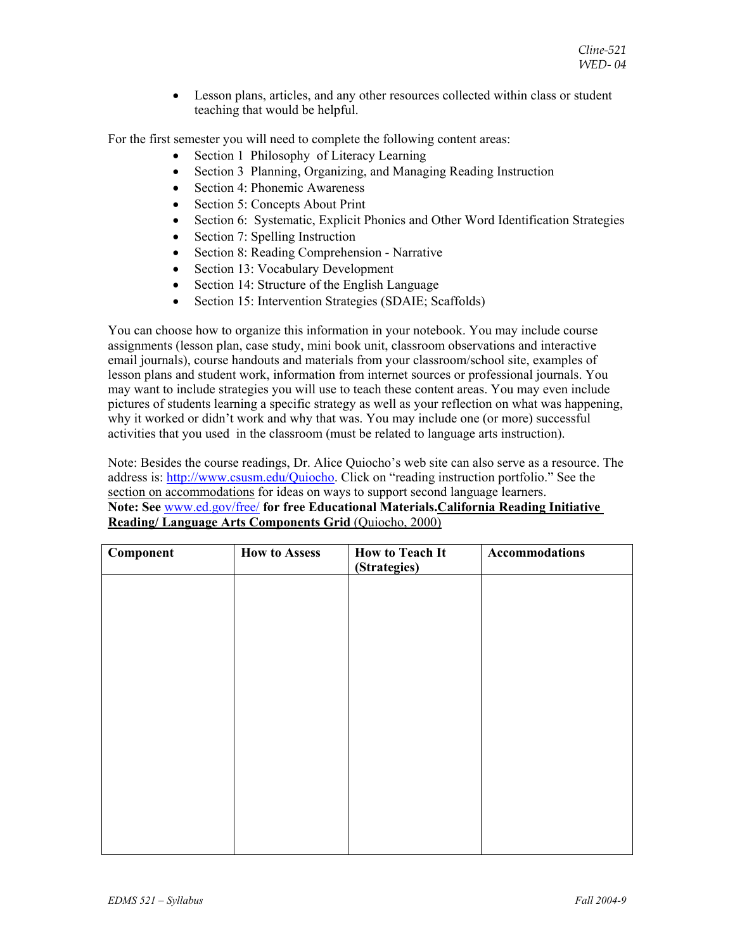• Lesson plans, articles, and any other resources collected within class or student teaching that would be helpful.

For the first semester you will need to complete the following content areas:

- Section 1 Philosophy of Literacy Learning
- Section 3 Planning, Organizing, and Managing Reading Instruction
- Section 4: Phonemic Awareness
- Section 5: Concepts About Print
- Section 6: Systematic, Explicit Phonics and Other Word Identification Strategies
- Section 7: Spelling Instruction
- Section 8: Reading Comprehension Narrative
- Section 13: Vocabulary Development
- Section 14: Structure of the English Language
- Section 15: Intervention Strategies (SDAIE; Scaffolds)

You can choose how to organize this information in your notebook. You may include course assignments (lesson plan, case study, mini book unit, classroom observations and interactive email journals), course handouts and materials from your classroom/school site, examples of lesson plans and student work, information from internet sources or professional journals. You may want to include strategies you will use to teach these content areas. You may even include pictures of students learning a specific strategy as well as your reflection on what was happening, why it worked or didn't work and why that was. You may include one (or more) successful activities that you used in the classroom (must be related to language arts instruction).

Note: Besides the course readings, Dr. Alice Quiocho's web site can also serve as a resource. The address is: http://www.csusm.edu/Quiocho. Click on "reading instruction portfolio." See the section on accommodations for ideas on ways to support second language learners. **Note: See** www.ed.gov/free/ **for free Educational Materials.California Reading Initiative Reading/ Language Arts Components Grid** (Quiocho, 2000)

| Component | <b>How to Assess</b> | <b>How to Teach It</b><br>(Strategies) | Accommodations |
|-----------|----------------------|----------------------------------------|----------------|
|           |                      |                                        |                |
|           |                      |                                        |                |
|           |                      |                                        |                |
|           |                      |                                        |                |
|           |                      |                                        |                |
|           |                      |                                        |                |
|           |                      |                                        |                |
|           |                      |                                        |                |
|           |                      |                                        |                |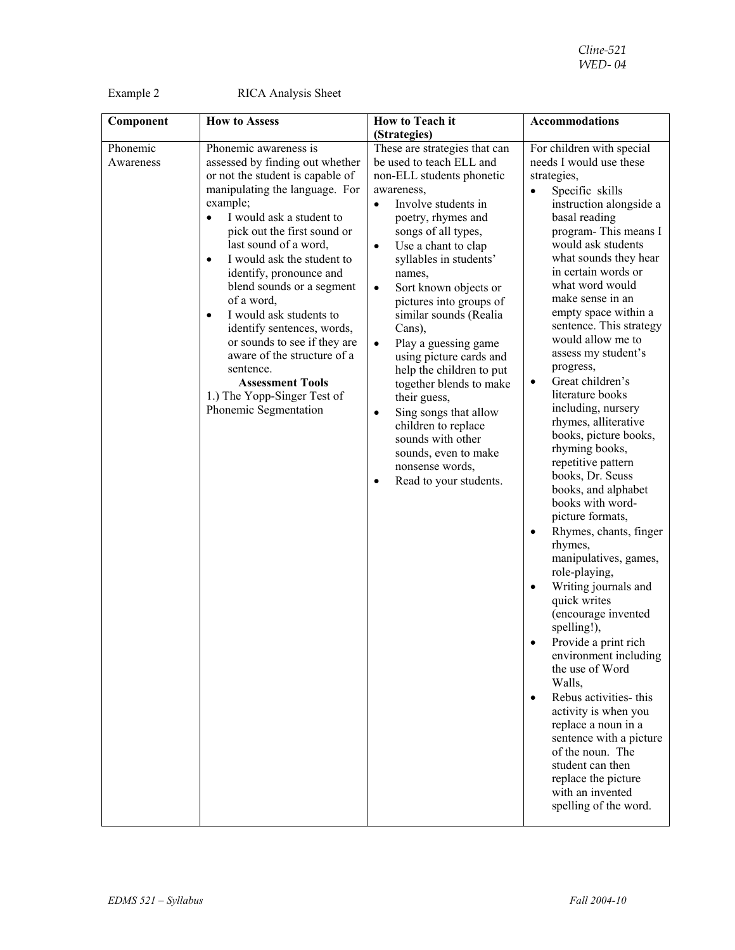Example 2 RICA Analysis Sheet

| Component             | <b>How to Assess</b>                                                                                                                                                                                                                                                                                                                                                                                                                                                                                                                                                                              | How to Teach it                                                                                                                                                                                                                                                                                                                                                                                                                                                                                                                                                                                                                                                               | <b>Accommodations</b>                                                                                                                                                                                                                                                                                                                                                                                                                                                                                                                                                                                                                                                                                                                                                                                                                                                                                                                                                                                                                                                                                                                                                  |
|-----------------------|---------------------------------------------------------------------------------------------------------------------------------------------------------------------------------------------------------------------------------------------------------------------------------------------------------------------------------------------------------------------------------------------------------------------------------------------------------------------------------------------------------------------------------------------------------------------------------------------------|-------------------------------------------------------------------------------------------------------------------------------------------------------------------------------------------------------------------------------------------------------------------------------------------------------------------------------------------------------------------------------------------------------------------------------------------------------------------------------------------------------------------------------------------------------------------------------------------------------------------------------------------------------------------------------|------------------------------------------------------------------------------------------------------------------------------------------------------------------------------------------------------------------------------------------------------------------------------------------------------------------------------------------------------------------------------------------------------------------------------------------------------------------------------------------------------------------------------------------------------------------------------------------------------------------------------------------------------------------------------------------------------------------------------------------------------------------------------------------------------------------------------------------------------------------------------------------------------------------------------------------------------------------------------------------------------------------------------------------------------------------------------------------------------------------------------------------------------------------------|
|                       |                                                                                                                                                                                                                                                                                                                                                                                                                                                                                                                                                                                                   | (Strategies)                                                                                                                                                                                                                                                                                                                                                                                                                                                                                                                                                                                                                                                                  |                                                                                                                                                                                                                                                                                                                                                                                                                                                                                                                                                                                                                                                                                                                                                                                                                                                                                                                                                                                                                                                                                                                                                                        |
| Phonemic<br>Awareness | Phonemic awareness is<br>assessed by finding out whether<br>or not the student is capable of<br>manipulating the language. For<br>example;<br>I would ask a student to<br>$\bullet$<br>pick out the first sound or<br>last sound of a word,<br>I would ask the student to<br>$\bullet$<br>identify, pronounce and<br>blend sounds or a segment<br>of a word,<br>I would ask students to<br>$\bullet$<br>identify sentences, words,<br>or sounds to see if they are<br>aware of the structure of a<br>sentence.<br><b>Assessment Tools</b><br>1.) The Yopp-Singer Test of<br>Phonemic Segmentation | These are strategies that can<br>be used to teach ELL and<br>non-ELL students phonetic<br>awareness,<br>Involve students in<br>$\bullet$<br>poetry, rhymes and<br>songs of all types,<br>Use a chant to clap<br>$\bullet$<br>syllables in students'<br>names,<br>Sort known objects or<br>$\bullet$<br>pictures into groups of<br>similar sounds (Realia<br>Cans),<br>Play a guessing game<br>$\bullet$<br>using picture cards and<br>help the children to put<br>together blends to make<br>their guess,<br>Sing songs that allow<br>$\bullet$<br>children to replace<br>sounds with other<br>sounds, even to make<br>nonsense words,<br>Read to your students.<br>$\bullet$ | For children with special<br>needs I would use these<br>strategies,<br>Specific skills<br>$\bullet$<br>instruction alongside a<br>basal reading<br>program-This means I<br>would ask students<br>what sounds they hear<br>in certain words or<br>what word would<br>make sense in an<br>empty space within a<br>sentence. This strategy<br>would allow me to<br>assess my student's<br>progress,<br>Great children's<br>$\bullet$<br>literature books<br>including, nursery<br>rhymes, alliterative<br>books, picture books,<br>rhyming books,<br>repetitive pattern<br>books, Dr. Seuss<br>books, and alphabet<br>books with word-<br>picture formats,<br>Rhymes, chants, finger<br>$\bullet$<br>rhymes,<br>manipulatives, games,<br>role-playing,<br>Writing journals and<br>$\bullet$<br>quick writes<br>(encourage invented<br>spelling!),<br>Provide a print rich<br>$\bullet$<br>environment including<br>the use of Word<br>Walls,<br>Rebus activities- this<br>$\bullet$<br>activity is when you<br>replace a noun in a<br>sentence with a picture<br>of the noun. The<br>student can then<br>replace the picture<br>with an invented<br>spelling of the word. |